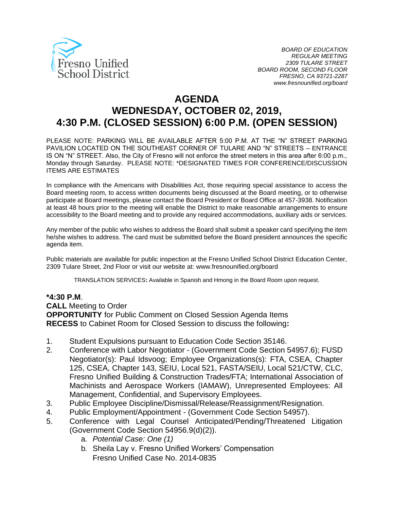

# **AGENDA WEDNESDAY, OCTOBER 02, 2019, 4:30 P.M. (CLOSED SESSION) 6:00 P.M. (OPEN SESSION)**

PLEASE NOTE: PARKING WILL BE AVAILABLE AFTER 5:00 P.M. AT THE "N" STREET PARKING PAVILION LOCATED ON THE SOUTHEAST CORNER OF TULARE AND "N" STREETS – ENTRANCE IS ON "N" STREET. Also, the City of Fresno will not enforce the street meters in this area after 6:00 p.m., Monday through Saturday. PLEASE NOTE: \*DESIGNATED TIMES FOR CONFERENCE/DISCUSSION ITEMS ARE ESTIMATES

In compliance with the Americans with Disabilities Act, those requiring special assistance to access the Board meeting room, to access written documents being discussed at the Board meeting, or to otherwise participate at Board meetings, please contact the Board President or Board Office at 457-3938. Notification at least 48 hours prior to the meeting will enable the District to make reasonable arrangements to ensure accessibility to the Board meeting and to provide any required accommodations, auxiliary aids or services.

Any member of the public who wishes to address the Board shall submit a speaker card specifying the item he/she wishes to address. The card must be submitted before the Board president announces the specific agenda item.

Public materials are available for public inspection at the Fresno Unified School District Education Center, 2309 Tulare Street, 2nd Floor or visit our website at: www.fresnounified.org/board

TRANSLATION SERVICES**:** Available in Spanish and Hmong in the Board Room upon request.

#### **\*4:30 P.M**.

**CALL** Meeting to Order

**OPPORTUNITY** for Public Comment on Closed Session Agenda Items **RECESS** to Cabinet Room for Closed Session to discuss the following**:**

- 1. Student Expulsions pursuant to Education Code Section 35146.
- 2. Conference with Labor Negotiator (Government Code Section 54957.6); FUSD Negotiator(s): Paul Idsvoog; Employee Organizations(s): FTA, CSEA, Chapter 125, CSEA, Chapter 143, SEIU, Local 521, FASTA/SEIU, Local 521/CTW, CLC, Fresno Unified Building & Construction Trades/FTA; International Association of Machinists and Aerospace Workers (IAMAW), Unrepresented Employees: All Management, Confidential, and Supervisory Employees.
- 3. Public Employee Discipline/Dismissal/Release/Reassignment/Resignation.
- 4. Public Employment/Appointment (Government Code Section 54957).
- 5. Conference with Legal Counsel Anticipated/Pending/Threatened Litigation (Government Code Section 54956.9(d)(2)).
	- a. *Potential Case: One (1)*
	- b. Sheila Lay v. Fresno Unified Workers' Compensation Fresno Unified Case No. 2014-0835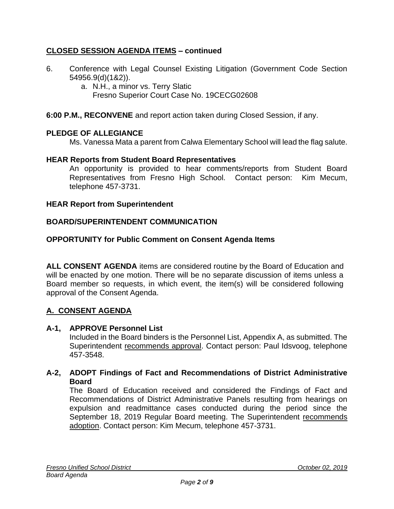# **CLOSED SESSION AGENDA ITEMS – continued**

- 6. Conference with Legal Counsel Existing Litigation (Government Code Section 54956.9(d)(1&2)).
	- a. N.H., a minor vs. Terry Slatic Fresno Superior Court Case No. 19CECG02608

**6:00 P.M., RECONVENE** and report action taken during Closed Session, if any.

# **PLEDGE OF ALLEGIANCE**

Ms. Vanessa Mata a parent from Calwa Elementary School will lead the flag salute.

### **HEAR Reports from Student Board Representatives**

An opportunity is provided to hear comments/reports from Student Board Representatives from Fresno High School. Contact person: Kim Mecum, telephone 457-3731.

### **HEAR Report from Superintendent**

### **BOARD/SUPERINTENDENT COMMUNICATION**

### **OPPORTUNITY for Public Comment on Consent Agenda Items**

**ALL CONSENT AGENDA** items are considered routine by the Board of Education and will be enacted by one motion. There will be no separate discussion of items unless a Board member so requests, in which event, the item(s) will be considered following approval of the Consent Agenda.

# **A. CONSENT AGENDA**

#### **A-1, APPROVE Personnel List**

Included in the Board binders is the Personnel List, Appendix A, as submitted. The Superintendent recommends approval. Contact person: Paul Idsvoog, telephone 457-3548.

### **A-2, ADOPT Findings of Fact and Recommendations of District Administrative Board**

The Board of Education received and considered the Findings of Fact and Recommendations of District Administrative Panels resulting from hearings on expulsion and readmittance cases conducted during the period since the September 18, 2019 Regular Board meeting. The Superintendent recommends adoption. Contact person: Kim Mecum, telephone 457-3731.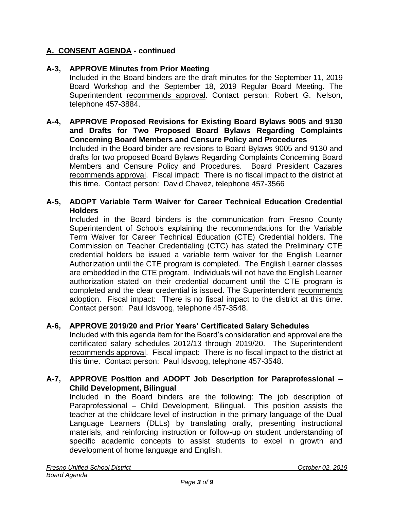# **A. CONSENT AGENDA - continued**

# **A-3, APPROVE Minutes from Prior Meeting**

Included in the Board binders are the draft minutes for the September 11, 2019 Board Workshop and the September 18, 2019 Regular Board Meeting. The Superintendent recommends approval. Contact person: Robert G. Nelson, telephone 457-3884.

#### **A-4, APPROVE Proposed Revisions for Existing Board Bylaws 9005 and 9130 and Drafts for Two Proposed Board Bylaws Regarding Complaints Concerning Board Members and Censure Policy and Procedures**

Included in the Board binder are revisions to Board Bylaws 9005 and 9130 and drafts for two proposed Board Bylaws Regarding Complaints Concerning Board Members and Censure Policy and Procedures. Board President Cazares recommends approval. Fiscal impact: There is no fiscal impact to the district at this time. Contact person: David Chavez, telephone 457-3566

### **A-5, ADOPT Variable Term Waiver for Career Technical Education Credential Holders**

Included in the Board binders is the communication from Fresno County Superintendent of Schools explaining the recommendations for the Variable Term Waiver for Career Technical Education (CTE) Credential holders. The Commission on Teacher Credentialing (CTC) has stated the Preliminary CTE credential holders be issued a variable term waiver for the English Learner Authorization until the CTE program is completed. The English Learner classes are embedded in the CTE program. Individuals will not have the English Learner authorization stated on their credential document until the CTE program is completed and the clear credential is issued. The Superintendent recommends adoption. Fiscal impact: There is no fiscal impact to the district at this time. Contact person: Paul Idsvoog, telephone 457-3548.

#### **A-6, APPROVE 2019/20 and Prior Years' Certificated Salary Schedules**

Included with this agenda item for the Board's consideration and approval are the certificated salary schedules 2012/13 through 2019/20. The Superintendent recommends approval. Fiscal impact: There is no fiscal impact to the district at this time. Contact person: Paul Idsvoog, telephone 457-3548.

#### **A-7, APPROVE Position and ADOPT Job Description for Paraprofessional – Child Development, Bilingual**

Included in the Board binders are the following: The job description of Paraprofessional – Child Development, Bilingual. This position assists the teacher at the childcare level of instruction in the primary language of the Dual Language Learners (DLLs) by translating orally, presenting instructional materials, and reinforcing instruction or follow-up on student understanding of specific academic concepts to assist students to excel in growth and development of home language and English.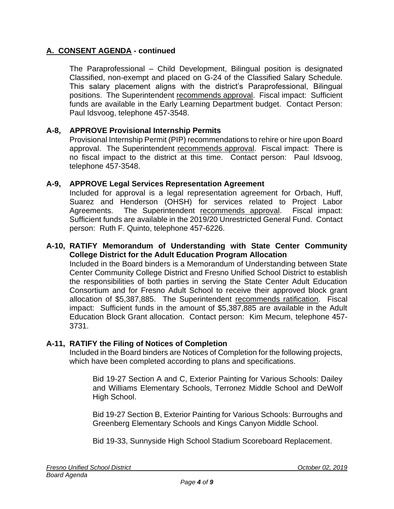# **A. CONSENT AGENDA - continued**

The Paraprofessional – Child Development, Bilingual position is designated Classified, non-exempt and placed on G-24 of the Classified Salary Schedule. This salary placement aligns with the district's Paraprofessional, Bilingual positions. The Superintendent recommends approval. Fiscal impact: Sufficient funds are available in the Early Learning Department budget. Contact Person: Paul Idsvoog, telephone 457-3548.

# **A-8, APPROVE Provisional Internship Permits**

Provisional Internship Permit (PIP) recommendations to rehire or hire upon Board approval. The Superintendent recommends approval. Fiscal impact: There is no fiscal impact to the district at this time. Contact person: Paul Idsvoog, telephone 457-3548.

### **A-9, APPROVE Legal Services Representation Agreement**

Included for approval is a legal representation agreement for Orbach, Huff, Suarez and Henderson (OHSH) for services related to Project Labor Agreements. The Superintendent recommends approval. Fiscal impact: Sufficient funds are available in the 2019/20 Unrestricted General Fund. Contact person: Ruth F. Quinto, telephone 457-6226.

#### **A-10, RATIFY Memorandum of Understanding with State Center Community College District for the Adult Education Program Allocation**

Included in the Board binders is a Memorandum of Understanding between State Center Community College District and Fresno Unified School District to establish the responsibilities of both parties in serving the State Center Adult Education Consortium and for Fresno Adult School to receive their approved block grant allocation of \$5,387,885. The Superintendent recommends ratification. Fiscal impact: Sufficient funds in the amount of \$5,387,885 are available in the Adult Education Block Grant allocation. Contact person: Kim Mecum, telephone 457- 3731.

#### **A-11, RATIFY the Filing of Notices of Completion**

Included in the Board binders are Notices of Completion for the following projects, which have been completed according to plans and specifications.

Bid 19-27 Section A and C, Exterior Painting for Various Schools: Dailey and Williams Elementary Schools, Terronez Middle School and DeWolf High School.

Bid 19-27 Section B, Exterior Painting for Various Schools: Burroughs and Greenberg Elementary Schools and Kings Canyon Middle School.

Bid 19-33, Sunnyside High School Stadium Scoreboard Replacement.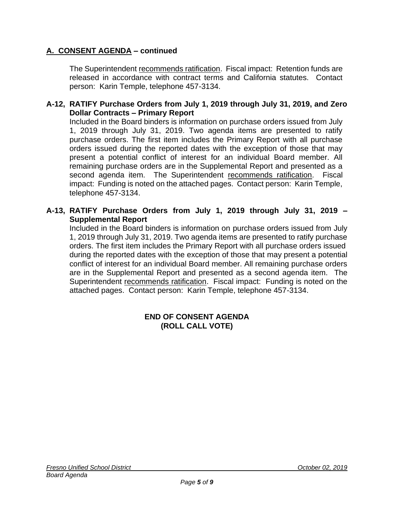# **A. CONSENT AGENDA – continued**

The Superintendent recommends ratification. Fiscal impact: Retention funds are released in accordance with contract terms and California statutes. Contact person: Karin Temple, telephone 457-3134.

### **A-12, RATIFY Purchase Orders from July 1, 2019 through July 31, 2019, and Zero Dollar Contracts – Primary Report**

Included in the Board binders is information on purchase orders issued from July 1, 2019 through July 31, 2019. Two agenda items are presented to ratify purchase orders. The first item includes the Primary Report with all purchase orders issued during the reported dates with the exception of those that may present a potential conflict of interest for an individual Board member. All remaining purchase orders are in the Supplemental Report and presented as a second agenda item. The Superintendent recommends ratification. Fiscal impact: Funding is noted on the attached pages. Contact person: Karin Temple, telephone 457-3134.

# **A-13, RATIFY Purchase Orders from July 1, 2019 through July 31, 2019 – Supplemental Report**

Included in the Board binders is information on purchase orders issued from July 1, 2019 through July 31, 2019. Two agenda items are presented to ratify purchase orders. The first item includes the Primary Report with all purchase orders issued during the reported dates with the exception of those that may present a potential conflict of interest for an individual Board member. All remaining purchase orders are in the Supplemental Report and presented as a second agenda item. The Superintendent recommends ratification. Fiscal impact: Funding is noted on the attached pages. Contact person: Karin Temple, telephone 457-3134.

### **END OF CONSENT AGENDA (ROLL CALL VOTE)**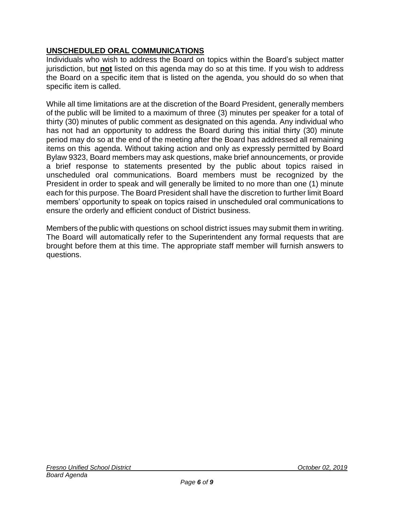# **UNSCHEDULED ORAL COMMUNICATIONS**

Individuals who wish to address the Board on topics within the Board's subject matter jurisdiction, but **not** listed on this agenda may do so at this time. If you wish to address the Board on a specific item that is listed on the agenda, you should do so when that specific item is called.

While all time limitations are at the discretion of the Board President, generally members of the public will be limited to a maximum of three (3) minutes per speaker for a total of thirty (30) minutes of public comment as designated on this agenda. Any individual who has not had an opportunity to address the Board during this initial thirty (30) minute period may do so at the end of the meeting after the Board has addressed all remaining items on this agenda. Without taking action and only as expressly permitted by Board Bylaw 9323, Board members may ask questions, make brief announcements, or provide a brief response to statements presented by the public about topics raised in unscheduled oral communications. Board members must be recognized by the President in order to speak and will generally be limited to no more than one (1) minute each for this purpose. The Board President shall have the discretion to further limit Board members' opportunity to speak on topics raised in unscheduled oral communications to ensure the orderly and efficient conduct of District business.

Members of the public with questions on school district issues may submit them in writing. The Board will automatically refer to the Superintendent any formal requests that are brought before them at this time. The appropriate staff member will furnish answers to questions.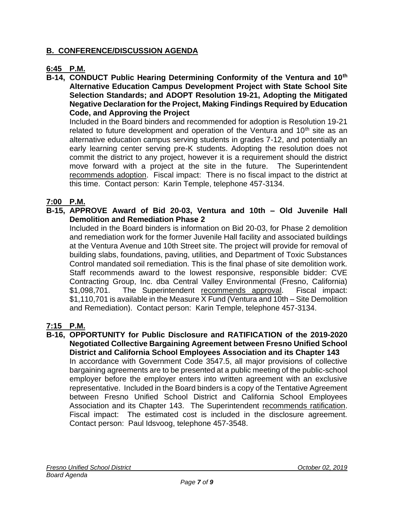# **B. CONFERENCE/DISCUSSION AGENDA**

# **6:45 P.M.**

**B-14, CONDUCT Public Hearing Determining Conformity of the Ventura and 10th Alternative Education Campus Development Project with State School Site Selection Standards; and ADOPT Resolution 19-21, Adopting the Mitigated Negative Declaration for the Project, Making Findings Required by Education Code, and Approving the Project** 

Included in the Board binders and recommended for adoption is Resolution 19-21 related to future development and operation of the Ventura and  $10<sup>th</sup>$  site as an alternative education campus serving students in grades 7-12, and potentially an early learning center serving pre-K students. Adopting the resolution does not commit the district to any project, however it is a requirement should the district move forward with a project at the site in the future. The Superintendent recommends adoption. Fiscal impact: There is no fiscal impact to the district at this time. Contact person: Karin Temple, telephone 457-3134.

# **7:00 P.M.**

**B-15, APPROVE Award of Bid 20-03, Ventura and 10th – Old Juvenile Hall Demolition and Remediation Phase 2**

Included in the Board binders is information on Bid 20-03, for Phase 2 demolition and remediation work for the former Juvenile Hall facility and associated buildings at the Ventura Avenue and 10th Street site. The project will provide for removal of building slabs, foundations, paving, utilities, and Department of Toxic Substances Control mandated soil remediation. This is the final phase of site demolition work. Staff recommends award to the lowest responsive, responsible bidder: CVE Contracting Group, Inc. dba Central Valley Environmental (Fresno, California) \$1,098,701. The Superintendent recommends approval. Fiscal impact: \$1,110,701 is available in the Measure X Fund (Ventura and 10th – Site Demolition and Remediation). Contact person: Karin Temple, telephone 457-3134.

# **7:15 P.M.**

**B-16, OPPORTUNITY for Public Disclosure and RATIFICATION of the 2019-2020 Negotiated Collective Bargaining Agreement between Fresno Unified School District and California School Employees Association and its Chapter 143** In accordance with Government Code 3547.5, all major provisions of collective bargaining agreements are to be presented at a public meeting of the public-school employer before the employer enters into written agreement with an exclusive representative. Included in the Board binders is a copy of the Tentative Agreement between Fresno Unified School District and California School Employees Association and its Chapter 143. The Superintendent recommends ratification. Fiscal impact: The estimated cost is included in the disclosure agreement. Contact person: Paul Idsvoog, telephone 457-3548.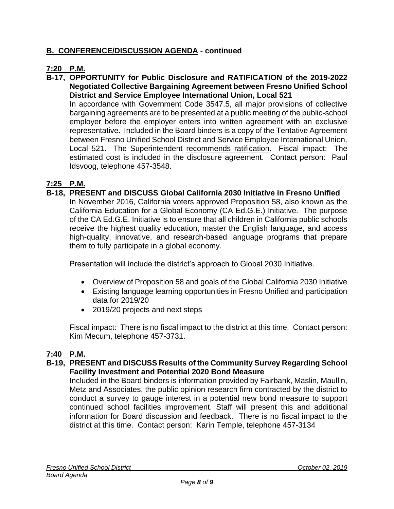# **B. CONFERENCE/DISCUSSION AGENDA - continued**

# **7:20 P.M.**

**B-17, OPPORTUNITY for Public Disclosure and RATIFICATION of the 2019-2022 Negotiated Collective Bargaining Agreement between Fresno Unified School District and Service Employee International Union, Local 521**

In accordance with Government Code 3547.5, all major provisions of collective bargaining agreements are to be presented at a public meeting of the public-school employer before the employer enters into written agreement with an exclusive representative. Included in the Board binders is a copy of the Tentative Agreement between Fresno Unified School District and Service Employee International Union, Local 521. The Superintendent recommends ratification. Fiscal impact: The estimated cost is included in the disclosure agreement. Contact person: Paul Idsvoog, telephone 457-3548.

# **7:25 P.M.**

**B-18, PRESENT and DISCUSS Global California 2030 Initiative in Fresno Unified** In November 2016, California voters approved Proposition 58, also known as the California Education for a Global Economy (CA Ed.G.E.) Initiative. The purpose of the CA Ed.G.E. Initiative is to ensure that all children in California public schools receive the highest quality education, master the English language, and access high-quality, innovative, and research-based language programs that prepare

Presentation will include the district's approach to Global 2030 Initiative.

- Overview of Proposition 58 and goals of the Global California 2030 Initiative
- Existing language learning opportunities in Fresno Unified and participation data for 2019/20
- 2019/20 projects and next steps

them to fully participate in a global economy.

Fiscal impact: There is no fiscal impact to the district at this time. Contact person: Kim Mecum, telephone 457-3731.

# **7:40 P.M.**

### **B-19, PRESENT and DISCUSS Results of the Community Survey Regarding School Facility Investment and Potential 2020 Bond Measure**

Included in the Board binders is information provided by Fairbank, Maslin, Maullin, Metz and Associates, the public opinion research firm contracted by the district to conduct a survey to gauge interest in a potential new bond measure to support continued school facilities improvement. Staff will present this and additional information for Board discussion and feedback. There is no fiscal impact to the district at this time. Contact person: Karin Temple, telephone 457-3134